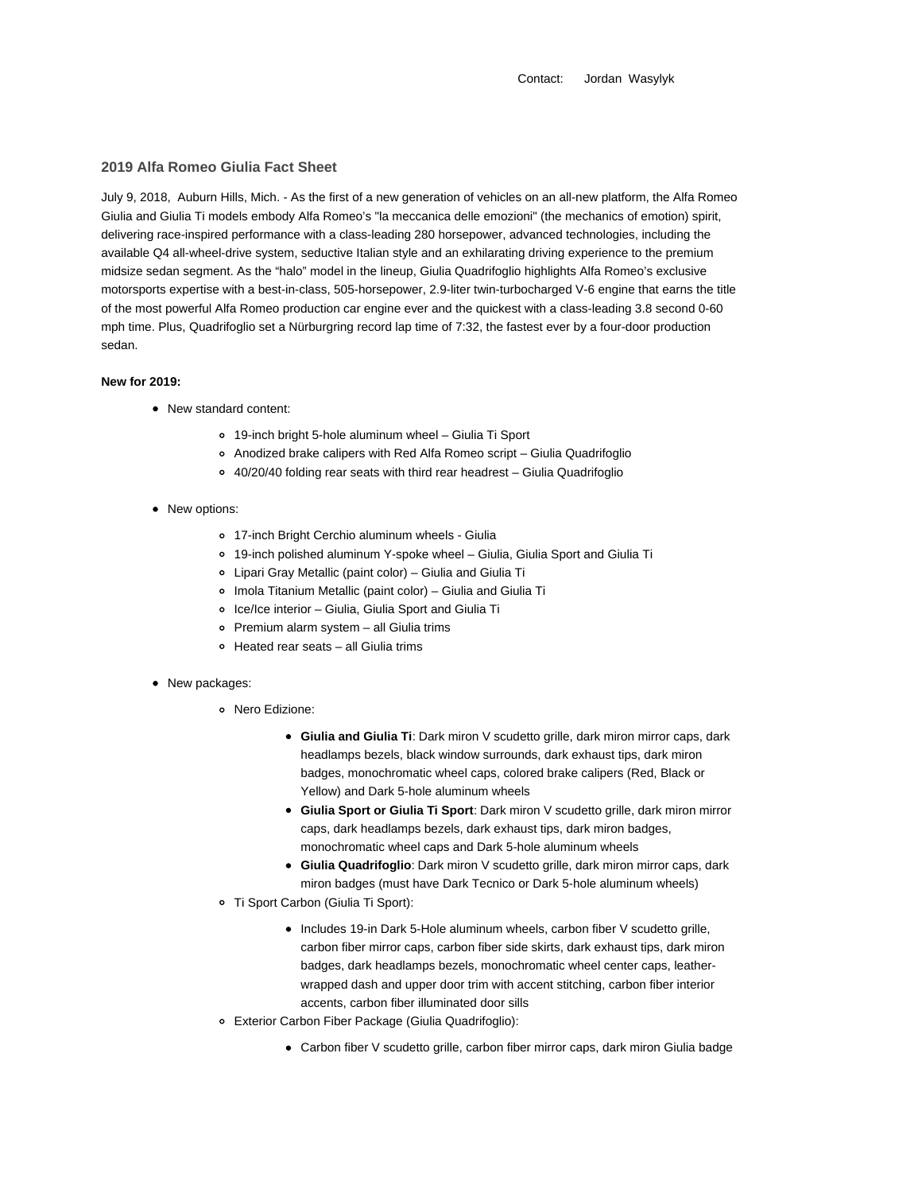Contact: Jordan Wasylyk

## **2019 Alfa Romeo Giulia Fact Sheet**

July 9, 2018, Auburn Hills, Mich. - As the first of a new generation of vehicles on an all-new platform, the Alfa Romeo Giulia and Giulia Ti models embody Alfa Romeo's "la meccanica delle emozioni" (the mechanics of emotion) spirit, delivering race-inspired performance with a class-leading 280 horsepower, advanced technologies, including the available Q4 all-wheel-drive system, seductive Italian style and an exhilarating driving experience to the premium midsize sedan segment. As the "halo" model in the lineup, Giulia Quadrifoglio highlights Alfa Romeo's exclusive motorsports expertise with a best-in-class, 505-horsepower, 2.9-liter twin-turbocharged V-6 engine that earns the title of the most powerful Alfa Romeo production car engine ever and the quickest with a class-leading 3.8 second 0-60 mph time. Plus, Quadrifoglio set a Nürburgring record lap time of 7:32, the fastest ever by a four-door production sedan.

## **New for 2019:**

- New standard content:
	- 19-inch bright 5-hole aluminum wheel Giulia Ti Sport
	- Anodized brake calipers with Red Alfa Romeo script Giulia Quadrifoglio
	- 40/20/40 folding rear seats with third rear headrest Giulia Quadrifoglio
- New options:
	- 17-inch Bright Cerchio aluminum wheels Giulia
	- 19-inch polished aluminum Y-spoke wheel Giulia, Giulia Sport and Giulia Ti
	- Lipari Gray Metallic (paint color) Giulia and Giulia Ti
	- Imola Titanium Metallic (paint color) Giulia and Giulia Ti
	- Ice/Ice interior Giulia, Giulia Sport and Giulia Ti
	- Premium alarm system all Giulia trims
	- Heated rear seats all Giulia trims
- New packages:
	- Nero Edizione:
		- **Giulia and Giulia Ti**: Dark miron V scudetto grille, dark miron mirror caps, dark headlamps bezels, black window surrounds, dark exhaust tips, dark miron badges, monochromatic wheel caps, colored brake calipers (Red, Black or Yellow) and Dark 5-hole aluminum wheels
		- **Giulia Sport or Giulia Ti Sport**: Dark miron V scudetto grille, dark miron mirror caps, dark headlamps bezels, dark exhaust tips, dark miron badges, monochromatic wheel caps and Dark 5-hole aluminum wheels
		- **Giulia Quadrifoglio**: Dark miron V scudetto grille, dark miron mirror caps, dark miron badges (must have Dark Tecnico or Dark 5-hole aluminum wheels)
	- Ti Sport Carbon (Giulia Ti Sport):
		- Includes 19-in Dark 5-Hole aluminum wheels, carbon fiber V scudetto grille, carbon fiber mirror caps, carbon fiber side skirts, dark exhaust tips, dark miron badges, dark headlamps bezels, monochromatic wheel center caps, leatherwrapped dash and upper door trim with accent stitching, carbon fiber interior accents, carbon fiber illuminated door sills
	- Exterior Carbon Fiber Package (Giulia Quadrifoglio):
		- Carbon fiber V scudetto grille, carbon fiber mirror caps, dark miron Giulia badge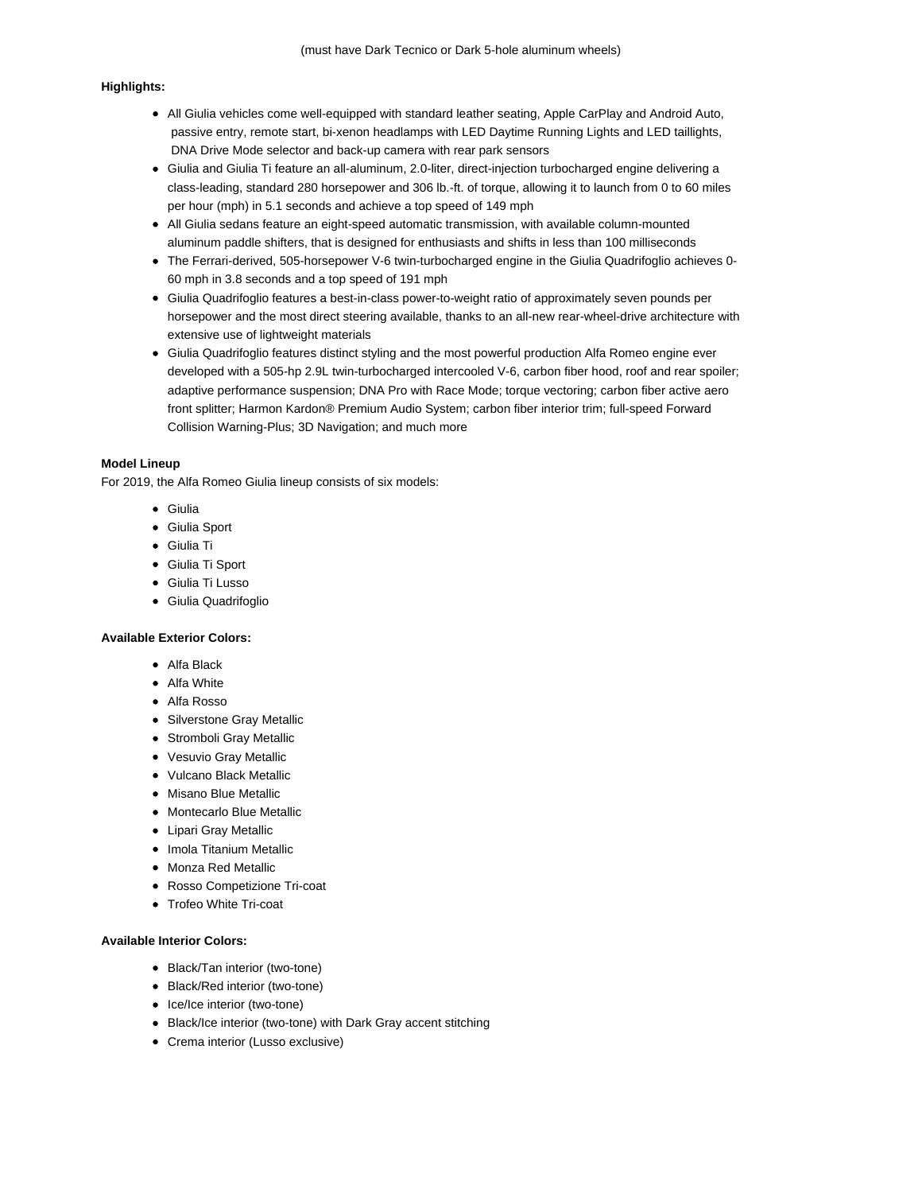#### **Highlights:**

- All Giulia vehicles come well-equipped with standard leather seating, Apple CarPlay and Android Auto, passive entry, remote start, bi-xenon headlamps with LED Daytime Running Lights and LED taillights, DNA Drive Mode selector and back-up camera with rear park sensors
- Giulia and Giulia Ti feature an all-aluminum, 2.0-liter, direct-injection turbocharged engine delivering a class-leading, standard 280 horsepower and 306 lb.-ft. of torque, allowing it to launch from 0 to 60 miles per hour (mph) in 5.1 seconds and achieve a top speed of 149 mph
- All Giulia sedans feature an eight-speed automatic transmission, with available column-mounted aluminum paddle shifters, that is designed for enthusiasts and shifts in less than 100 milliseconds
- The Ferrari-derived, 505-horsepower V-6 twin-turbocharged engine in the Giulia Quadrifoglio achieves 0- 60 mph in 3.8 seconds and a top speed of 191 mph
- Giulia Quadrifoglio features a best-in-class power-to-weight ratio of approximately seven pounds per horsepower and the most direct steering available, thanks to an all-new rear-wheel-drive architecture with extensive use of lightweight materials
- Giulia Quadrifoglio features distinct styling and the most powerful production Alfa Romeo engine ever developed with a 505-hp 2.9L twin-turbocharged intercooled V-6, carbon fiber hood, roof and rear spoiler; adaptive performance suspension; DNA Pro with Race Mode; torque vectoring; carbon fiber active aero front splitter; Harmon Kardon® Premium Audio System; carbon fiber interior trim; full-speed Forward Collision Warning-Plus; 3D Navigation; and much more

## **Model Lineup**

For 2019, the Alfa Romeo Giulia lineup consists of six models:

- Giulia
- Giulia Sport
- Giulia Ti
- Giulia Ti Sport
- Giulia Ti Lusso
- Giulia Quadrifoglio

## **Available Exterior Colors:**

- Alfa Black
- Alfa White
- **Alfa Rosso**
- Silverstone Gray Metallic
- Stromboli Gray Metallic
- Vesuvio Gray Metallic
- Vulcano Black Metallic
- Misano Blue Metallic
- Montecarlo Blue Metallic
- Lipari Gray Metallic
- Imola Titanium Metallic
- Monza Red Metallic
- Rosso Competizione Tri-coat
- Trofeo White Tri-coat

#### **Available Interior Colors:**

- Black/Tan interior (two-tone)
- Black/Red interior (two-tone)
- Ice/Ice interior (two-tone)
- Black/Ice interior (two-tone) with Dark Gray accent stitching
- Crema interior (Lusso exclusive)